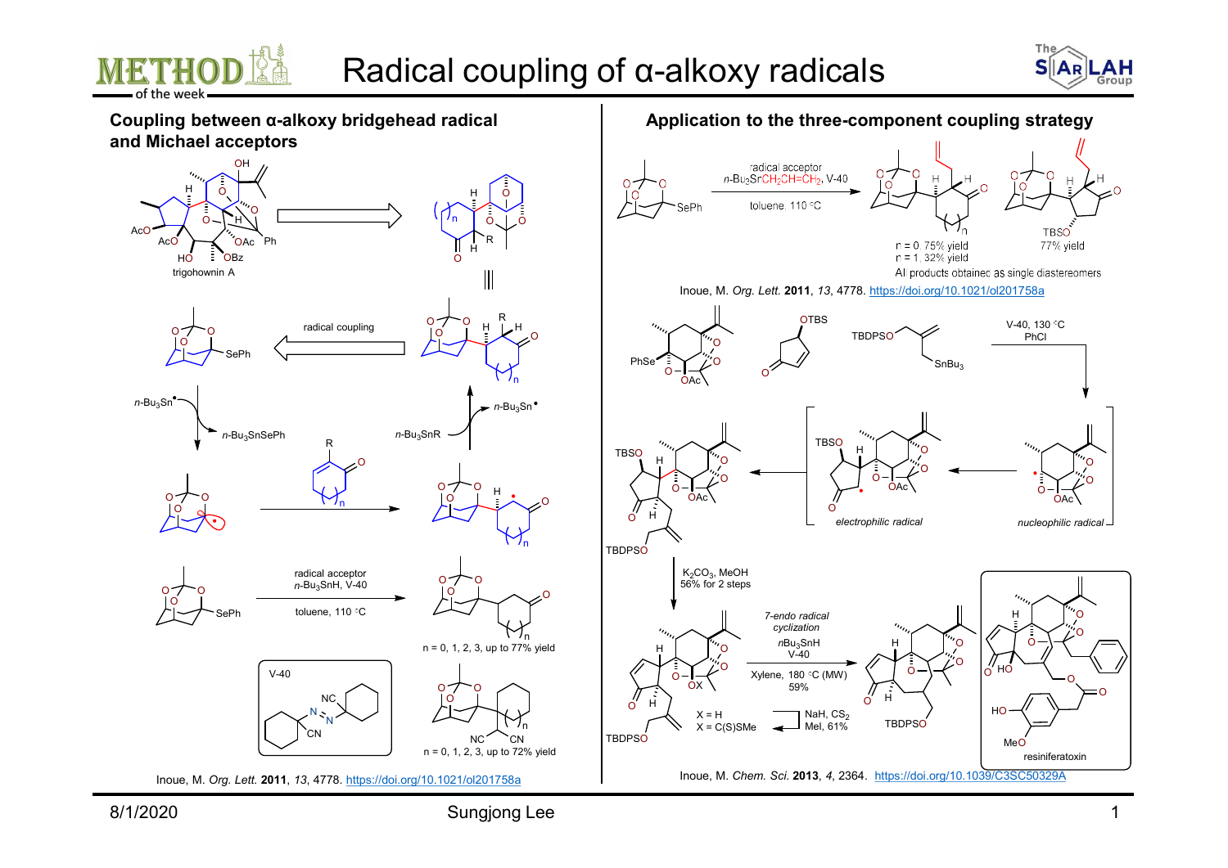



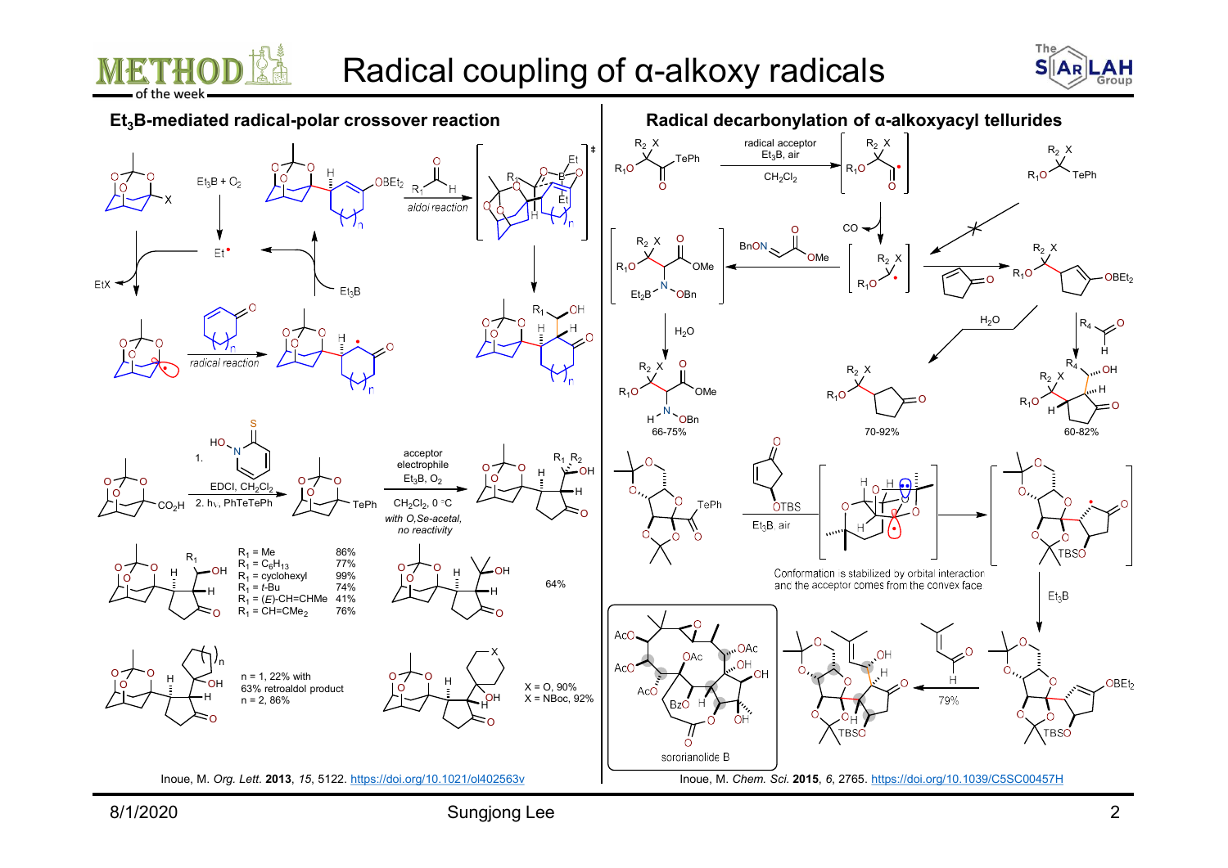